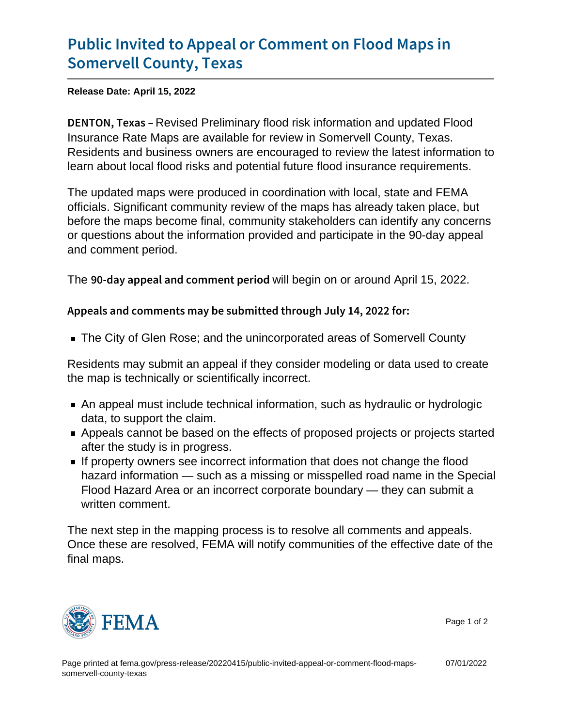## [Public Invited to Appeal or Comm](https://www.fema.gov/press-release/20220415/public-invited-appeal-or-comment-flood-maps-somervell-county-texas)ent on F [Somervell Coun](https://www.fema.gov/press-release/20220415/public-invited-appeal-or-comment-flood-maps-somervell-county-texas)ty, Texas

Release Date: April 15, 2022

DENTON, Revissed Preliminary flood risk information and updated Flood Insurance Rate Maps are available for review in Somervell County, Texas. Residents and business owners are encouraged to review the latest information to learn about local flood risks and potential future flood insurance requirements.

The updated maps were produced in coordination with local, state and FEMA officials. Significant community review of the maps has already taken place, but before the maps become final, community stakeholders can identify any concerns or questions about the information provided and participate in the 90-day appeal and comment period.

The  $90$ -day appeal and commithibegin to perraround April 15, 2022.

Appeals and comments may be submitted through July 14, 20

The City of Glen Rose; and the unincorporated areas of Somervell County

Residents may submit an appeal if they consider modeling or data used to create the map is technically or scientifically incorrect.

- An appeal must include technical information, such as hydraulic or hydrologic data, to support the claim.
- Appeals cannot be based on the effects of proposed projects or projects started after the study is in progress.
- If property owners see incorrect information that does not change the flood hazard information — such as a missing or misspelled road name in the Special Flood Hazard Area or an incorrect corporate boundary — they can submit a written comment.

The next step in the mapping process is to resolve all comments and appeals. Once these are resolved, FEMA will notify communities of the effective date of the final maps.



Page 1 of 2